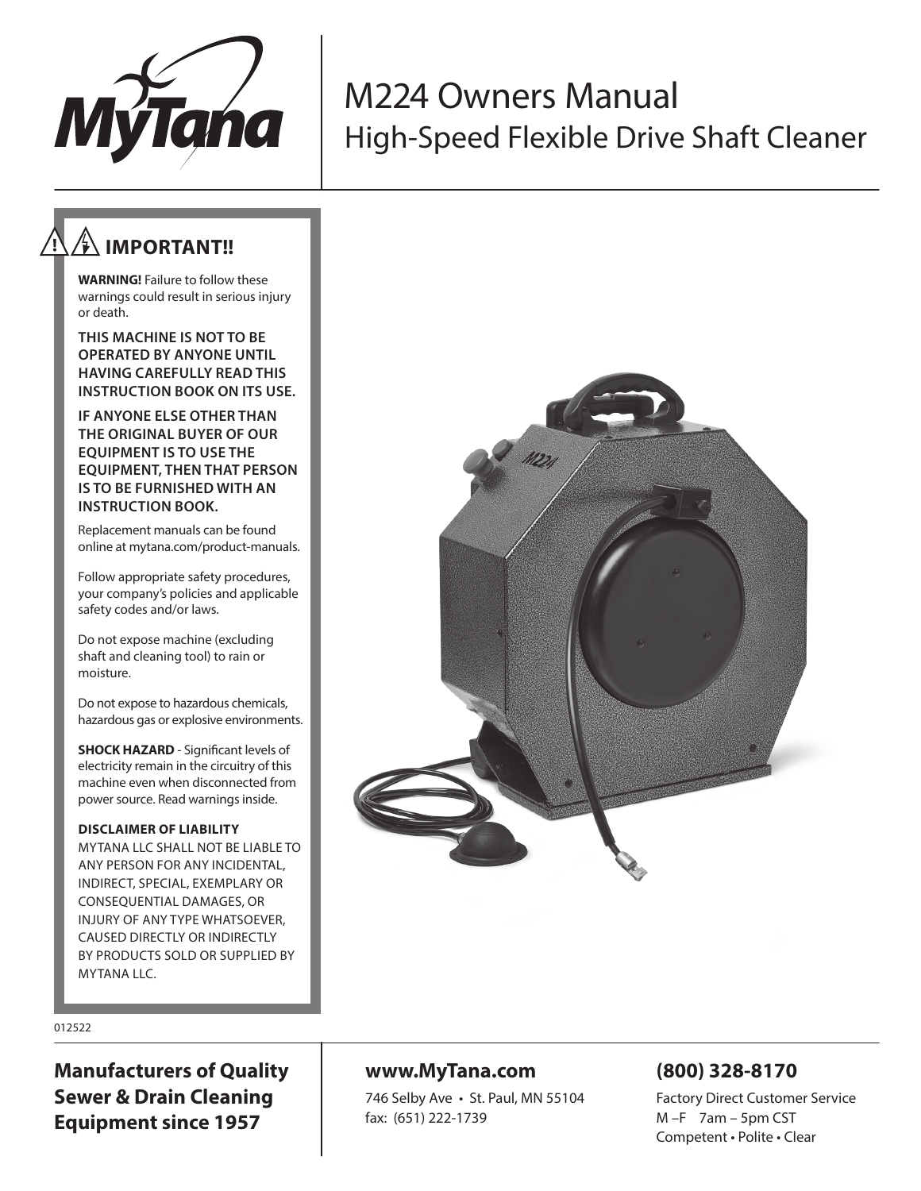

# M224 Owners Manual High-Speed Flexible Drive Shaft Cleaner

# **IMPORTANT!!**

**WARNING!** Failure to follow these warnings could result in serious injury or death.

**THIS MACHINE IS NOT TO BE OPERATED BY ANYONE UNTIL HAVING CAREFULLY READ THIS INSTRUCTION BOOK ON ITS USE.**

**IF ANYONE ELSE OTHER THAN THE ORIGINAL BUYER OF OUR EQUIPMENT IS TO USE THE EQUIPMENT, THEN THAT PERSON IS TO BE FURNISHED WITH AN INSTRUCTION BOOK.** 

Replacement manuals can be found online at mytana.com/product-manuals.

Follow appropriate safety procedures, your company's policies and applicable safety codes and/or laws.

Do not expose machine (excluding shaft and cleaning tool) to rain or moisture.

Do not expose to hazardous chemicals, hazardous gas or explosive environments.

**SHOCK HAZARD** - Significant levels of electricity remain in the circuitry of this machine even when disconnected from power source. Read warnings inside.

#### **DISCLAIMER OF LIABILITY**

MYTANA LLC SHALL NOT BE LIABLE TO ANY PERSON FOR ANY INCIDENTAL, INDIRECT, SPECIAL, EXEMPLARY OR CONSEQUENTIAL DAMAGES, OR INJURY OF ANY TYPE WHATSOEVER, CAUSED DIRECTLY OR INDIRECTLY BY PRODUCTS SOLD OR SUPPLIED BY MYTANA LLC.



#### 012522

**Manufacturers of Quality Sewer & Drain Cleaning Equipment since 1957**

### **www.MyTana.com**

746 Selby Ave • St. Paul, MN 55104 fax: (651) 222-1739

### **(800) 328-8170**

Factory Direct Customer Service M –F 7am – 5pm CST Competent • Polite • Clear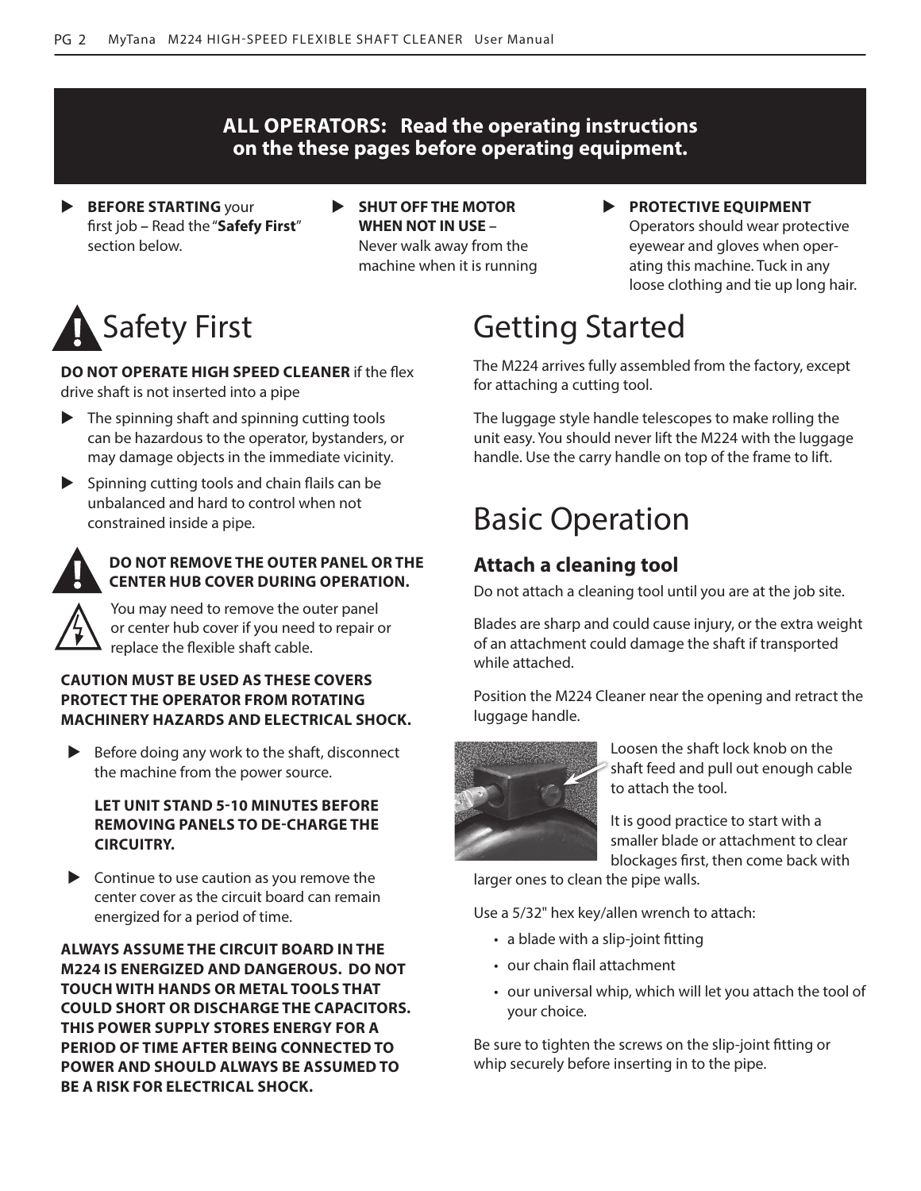### **ALL OPERATORS: Read the operating instructions on the these pages before operating equipment.**

- **BEFORE STARTING** your first job **–** Read the "**Safefy First**" section below.
- **EXAMPLE MOTOR WHEN NOT IN USE –** Never walk away from the

machine when it is running

**PROTECTIVE EQUIPMENT** Operators should wear protective eyewear and gloves when operating this machine. Tuck in any loose clothing and tie up long hair.

# Safety First

**DO NOT OPERATE HIGH SPEED CLEANER** if the flex drive shaft is not inserted into a pipe

- $\blacktriangleright$  The spinning shaft and spinning cutting tools can be hazardous to the operator, bystanders, or may damage objects in the immediate vicinity.
- $\blacktriangleright$  Spinning cutting tools and chain flails can be unbalanced and hard to control when not constrained inside a pipe.



#### **DO NOT REMOVE THE OUTER PANEL OR THE CENTER HUB COVER DURING OPERATION.**

You may need to remove the outer panel or center hub cover if you need to repair or replace the flexible shaft cable.

#### **CAUTION MUST BE USED AS THESE COVERS PROTECT THE OPERATOR FROM ROTATING MACHINERY HAZARDS AND ELECTRICAL SHOCK.**

 $\blacktriangleright$  Before doing any work to the shaft, disconnect the machine from the power source.

#### **LET UNIT STAND 5-10 MINUTES BEFORE REMOVING PANELS TO DE-CHARGE THE CIRCUITRY.**

 $\triangleright$  Continue to use caution as you remove the center cover as the circuit board can remain energized for a period of time.

**ALWAYS ASSUME THE CIRCUIT BOARD IN THE M224 IS ENERGIZED AND DANGEROUS. DO NOT TOUCH WITH HANDS OR METAL TOOLS THAT COULD SHORT OR DISCHARGE THE CAPACITORS. THIS POWER SUPPLY STORES ENERGY FOR A PERIOD OF TIME AFTER BEING CONNECTED TO POWER AND SHOULD ALWAYS BE ASSUMED TO BE A RISK FOR ELECTRICAL SHOCK.**

# Getting Started

The M224 arrives fully assembled from the factory, except for attaching a cutting tool.

The luggage style handle telescopes to make rolling the unit easy. You should never lift the M224 with the luggage handle. Use the carry handle on top of the frame to lift.

# Basic Operation

### **Attach a cleaning tool**

Do not attach a cleaning tool until you are at the job site.

Blades are sharp and could cause injury, or the extra weight of an attachment could damage the shaft if transported while attached.

Position the M224 Cleaner near the opening and retract the luggage handle.



Loosen the shaft lock knob on the shaft feed and pull out enough cable to attach the tool.

It is good practice to start with a smaller blade or attachment to clear blockages first, then come back with

larger ones to clean the pipe walls.

Use a 5/32" hex key/allen wrench to attach:

- a blade with a slip-joint fitting
- our chain flail attachment
- our universal whip, which will let you attach the tool of your choice.

Be sure to tighten the screws on the slip-joint fitting or whip securely before inserting in to the pipe.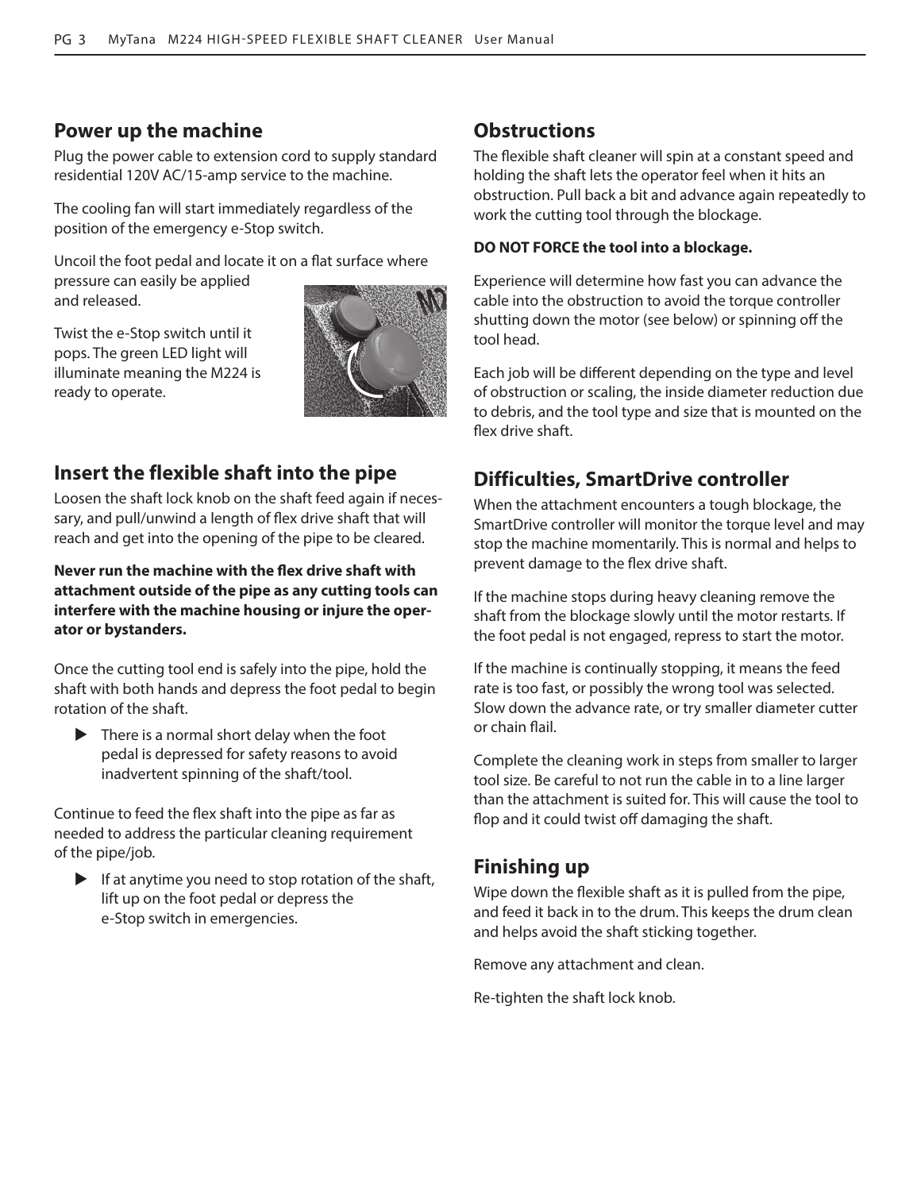### **Power up the machine**

Plug the power cable to extension cord to supply standard residential 120V AC/15-amp service to the machine.

The cooling fan will start immediately regardless of the position of the emergency e-Stop switch.

Uncoil the foot pedal and locate it on a flat surface where pressure can easily be applied and released.

Twist the e-Stop switch until it pops. The green LED light will illuminate meaning the M224 is ready to operate.



### **Insert the flexible shaft into the pipe**

Loosen the shaft lock knob on the shaft feed again if necessary, and pull/unwind a length of flex drive shaft that will reach and get into the opening of the pipe to be cleared.

**Never run the machine with the flex drive shaft with attachment outside of the pipe as any cutting tools can interfere with the machine housing or injure the operator or bystanders.** 

Once the cutting tool end is safely into the pipe, hold the shaft with both hands and depress the foot pedal to begin rotation of the shaft.

 $\blacktriangleright$  There is a normal short delay when the foot pedal is depressed for safety reasons to avoid inadvertent spinning of the shaft/tool.

Continue to feed the flex shaft into the pipe as far as needed to address the particular cleaning requirement of the pipe/job.

 $\blacktriangleright$  If at anytime you need to stop rotation of the shaft, lift up on the foot pedal or depress the e-Stop switch in emergencies.

### **Obstructions**

The flexible shaft cleaner will spin at a constant speed and holding the shaft lets the operator feel when it hits an obstruction. Pull back a bit and advance again repeatedly to work the cutting tool through the blockage.

#### **DO NOT FORCE the tool into a blockage.**

Experience will determine how fast you can advance the cable into the obstruction to avoid the torque controller shutting down the motor (see below) or spinning off the tool head.

Each job will be different depending on the type and level of obstruction or scaling, the inside diameter reduction due to debris, and the tool type and size that is mounted on the flex drive shaft.

### **Difficulties, SmartDrive controller**

When the attachment encounters a tough blockage, the SmartDrive controller will monitor the torque level and may stop the machine momentarily. This is normal and helps to prevent damage to the flex drive shaft.

If the machine stops during heavy cleaning remove the shaft from the blockage slowly until the motor restarts. If the foot pedal is not engaged, repress to start the motor.

If the machine is continually stopping, it means the feed rate is too fast, or possibly the wrong tool was selected. Slow down the advance rate, or try smaller diameter cutter or chain flail.

Complete the cleaning work in steps from smaller to larger tool size. Be careful to not run the cable in to a line larger than the attachment is suited for. This will cause the tool to flop and it could twist off damaging the shaft.

### **Finishing up**

Wipe down the flexible shaft as it is pulled from the pipe, and feed it back in to the drum. This keeps the drum clean and helps avoid the shaft sticking together.

Remove any attachment and clean.

Re-tighten the shaft lock knob.